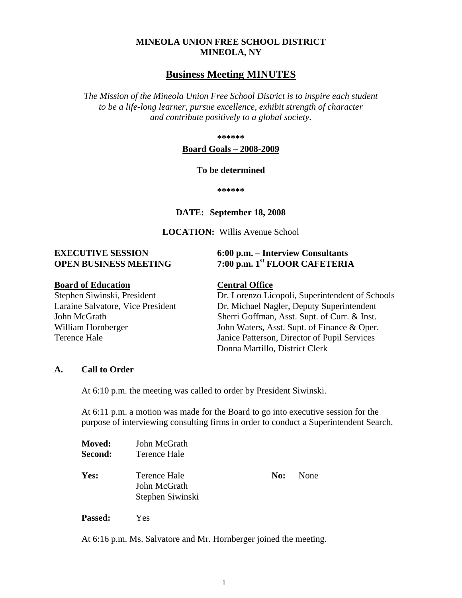#### **MINEOLA UNION FREE SCHOOL DISTRICT MINEOLA, NY**

#### **Business Meeting MINUTES**

*The Mission of the Mineola Union Free School District is to inspire each student to be a life-long learner, pursue excellence, exhibit strength of character and contribute positively to a global society.*

**\*\*\*\*\*\***

#### **Board Goals – 2008-2009**

#### **To be determined**

**\*\*\*\*\*\***

#### **DATE: September 18, 2008**

#### **LOCATION:** Willis Avenue School

#### **EXECUTIVE SESSION 6:00 p.m. – Interview Consultants OPEN BUSINESS MEETING 7:00 p.m. 1st FLOOR CAFETERIA**

**Board of Education**<br>
Stephen Siwinski, President<br>
Dr. Lorenzo Lic

Dr. Lorenzo Licopoli, Superintendent of Schools Laraine Salvatore, Vice President Dr. Michael Nagler, Deputy Superintendent John McGrath Sherri Goffman, Asst. Supt. of Curr. & Inst. William Hornberger John Waters, Asst. Supt. of Finance & Oper. Terence Hale Janice Patterson, Director of Pupil Services Donna Martillo, District Clerk

#### **A. Call to Order**

At 6:10 p.m. the meeting was called to order by President Siwinski.

At 6:11 p.m. a motion was made for the Board to go into executive session for the purpose of interviewing consulting firms in order to conduct a Superintendent Search.

| <b>Moved:</b><br>Second: | John McGrath<br>Terence Hale                     |     |      |
|--------------------------|--------------------------------------------------|-----|------|
| Yes:                     | Terence Hale<br>John McGrath<br>Stephen Siwinski | No: | None |

**Passed:** Yes

At 6:16 p.m. Ms. Salvatore and Mr. Hornberger joined the meeting.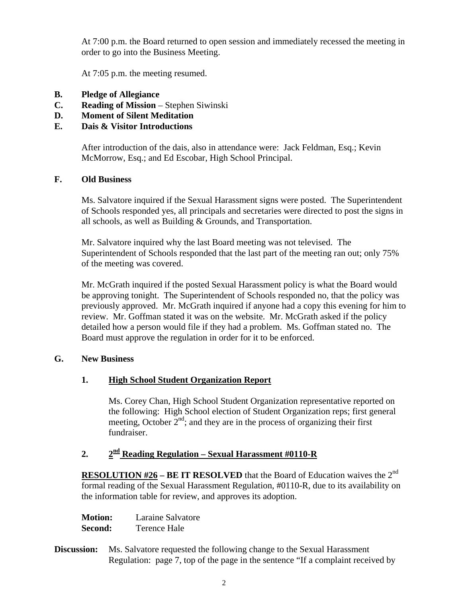At 7:00 p.m. the Board returned to open session and immediately recessed the meeting in order to go into the Business Meeting.

At 7:05 p.m. the meeting resumed.

- **B. Pledge of Allegiance**
- **C. Reading of Mission** Stephen Siwinski
- **D. Moment of Silent Meditation**
- **E. Dais & Visitor Introductions**

After introduction of the dais, also in attendance were: Jack Feldman, Esq.; Kevin McMorrow, Esq.; and Ed Escobar, High School Principal.

# **F. Old Business**

Ms. Salvatore inquired if the Sexual Harassment signs were posted. The Superintendent of Schools responded yes, all principals and secretaries were directed to post the signs in all schools, as well as Building & Grounds, and Transportation.

Mr. Salvatore inquired why the last Board meeting was not televised. The Superintendent of Schools responded that the last part of the meeting ran out; only 75% of the meeting was covered.

Mr. McGrath inquired if the posted Sexual Harassment policy is what the Board would be approving tonight. The Superintendent of Schools responded no, that the policy was previously approved. Mr. McGrath inquired if anyone had a copy this evening for him to review. Mr. Goffman stated it was on the website. Mr. McGrath asked if the policy detailed how a person would file if they had a problem. Ms. Goffman stated no. The Board must approve the regulation in order for it to be enforced.

# **G. New Business**

# **1. High School Student Organization Report**

Ms. Corey Chan, High School Student Organization representative reported on the following: High School election of Student Organization reps; first general meeting, October  $2<sup>nd</sup>$ ; and they are in the process of organizing their first fundraiser.

# **2. 2nd Reading Regulation – Sexual Harassment #0110-R**

**RESOLUTION #26 – BE IT RESOLVED** that the Board of Education waives the 2<sup>nd</sup> formal reading of the Sexual Harassment Regulation, #0110-R, due to its availability on the information table for review, and approves its adoption.

| <b>Motion:</b> | Laraine Salvatore |
|----------------|-------------------|
| Second:        | Terence Hale      |

**Discussion:** Ms. Salvatore requested the following change to the Sexual Harassment Regulation: page 7, top of the page in the sentence "If a complaint received by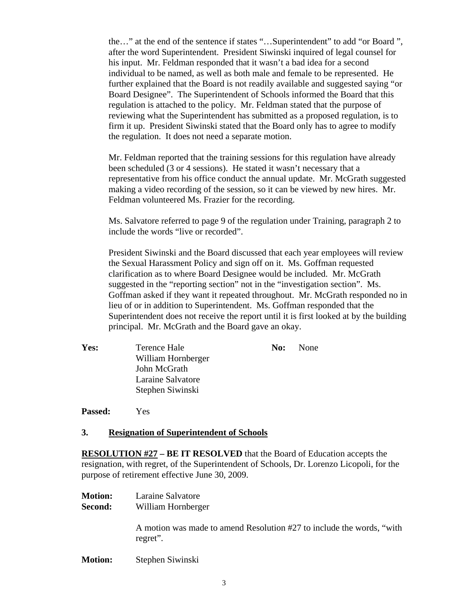the…" at the end of the sentence if states "…Superintendent" to add "or Board ", after the word Superintendent. President Siwinski inquired of legal counsel for his input. Mr. Feldman responded that it wasn't a bad idea for a second individual to be named, as well as both male and female to be represented. He further explained that the Board is not readily available and suggested saying "or Board Designee". The Superintendent of Schools informed the Board that this regulation is attached to the policy. Mr. Feldman stated that the purpose of reviewing what the Superintendent has submitted as a proposed regulation, is to firm it up. President Siwinski stated that the Board only has to agree to modify the regulation. It does not need a separate motion.

Mr. Feldman reported that the training sessions for this regulation have already been scheduled (3 or 4 sessions). He stated it wasn't necessary that a representative from his office conduct the annual update. Mr. McGrath suggested making a video recording of the session, so it can be viewed by new hires. Mr. Feldman volunteered Ms. Frazier for the recording.

Ms. Salvatore referred to page 9 of the regulation under Training, paragraph 2 to include the words "live or recorded".

President Siwinski and the Board discussed that each year employees will review the Sexual Harassment Policy and sign off on it. Ms. Goffman requested clarification as to where Board Designee would be included. Mr. McGrath suggested in the "reporting section" not in the "investigation section". Ms. Goffman asked if they want it repeated throughout. Mr. McGrath responded no in lieu of or in addition to Superintendent. Ms. Goffman responded that the Superintendent does not receive the report until it is first looked at by the building principal. Mr. McGrath and the Board gave an okay.

**Yes:** Terence Hale **No:** None William Hornberger John McGrath Laraine Salvatore Stephen Siwinski

**Passed:** Yes

#### **3. Resignation of Superintendent of Schools**

**RESOLUTION #27 – BE IT RESOLVED** that the Board of Education accepts the resignation, with regret, of the Superintendent of Schools, Dr. Lorenzo Licopoli, for the purpose of retirement effective June 30, 2009.

- **Motion:** Laraine Salvatore
- **Second:** William Hornberger

A motion was made to amend Resolution #27 to include the words, "with regret".

**Motion:** Stephen Siwinski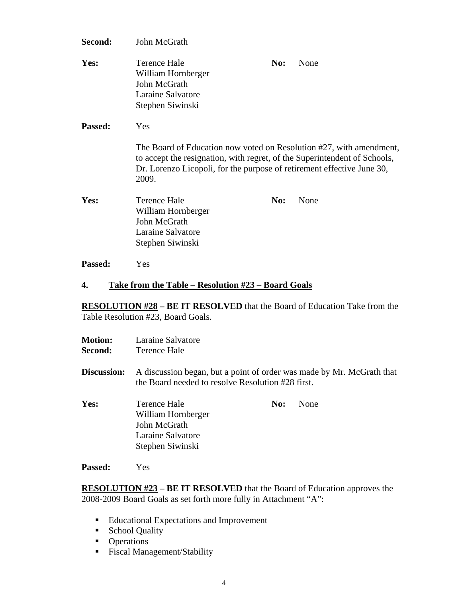| Second:        | John McGrath                                                                                                                                                                                                                               |     |      |
|----------------|--------------------------------------------------------------------------------------------------------------------------------------------------------------------------------------------------------------------------------------------|-----|------|
| Yes:           | <b>Terence Hale</b><br>William Hornberger<br>John McGrath<br>Laraine Salvatore<br>Stephen Siwinski                                                                                                                                         | No: | None |
| Passed:        | Yes<br>The Board of Education now voted on Resolution #27, with amendment,<br>to accept the resignation, with regret, of the Superintendent of Schools,<br>Dr. Lorenzo Licopoli, for the purpose of retirement effective June 30,<br>2009. |     |      |
| Yes:           | <b>Terence Hale</b><br>William Hornberger<br>John McGrath<br>Laraine Salvatore<br>Stephen Siwinski                                                                                                                                         | No: | None |
| <b>Passed:</b> | Yes                                                                                                                                                                                                                                        |     |      |

**4. Take from the Table – Resolution #23 – Board Goals**

**RESOLUTION #28 – BE IT RESOLVED** that the Board of Education Take from the Table Resolution #23, Board Goals.

| <b>Motion:</b><br>Second: | Laraine Salvatore<br>Terence Hale                                                                                          |     |      |
|---------------------------|----------------------------------------------------------------------------------------------------------------------------|-----|------|
| Discussion:               | A discussion began, but a point of order was made by Mr. McGrath that<br>the Board needed to resolve Resolution #28 first. |     |      |
| Yes:                      | Terence Hale<br>William Hornberger<br>John McGrath<br>Laraine Salvatore<br>Stephen Siwinski                                | No: | None |
|                           |                                                                                                                            |     |      |

**Passed:** Yes

**RESOLUTION #23 – BE IT RESOLVED** that the Board of Education approves the 2008-2009 Board Goals as set forth more fully in Attachment "A":

- **Educational Expectations and Improvement**
- School Quality
- Operations
- **Fiscal Management/Stability**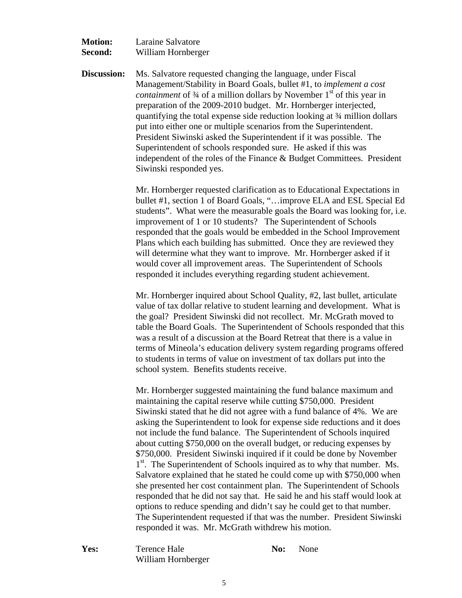| <b>Motion:</b> | Laraine Salvatore  |
|----------------|--------------------|
| Second:        | William Hornberger |

**Discussion:** Ms. Salvatore requested changing the language, under Fiscal Management/Stability in Board Goals, bullet #1, to *implement a cost containment* of 3<sup>4</sup> of a million dollars by November 1<sup>st</sup> of this year in preparation of the 2009-2010 budget. Mr. Hornberger interjected, quantifying the total expense side reduction looking at ¾ million dollars put into either one or multiple scenarios from the Superintendent. President Siwinski asked the Superintendent if it was possible. The Superintendent of schools responded sure. He asked if this was independent of the roles of the Finance & Budget Committees. President Siwinski responded yes.

> Mr. Hornberger requested clarification as to Educational Expectations in bullet #1, section 1 of Board Goals, "…improve ELA and ESL Special Ed students". What were the measurable goals the Board was looking for, i.e. improvement of 1 or 10 students? The Superintendent of Schools responded that the goals would be embedded in the School Improvement Plans which each building has submitted. Once they are reviewed they will determine what they want to improve. Mr. Hornberger asked if it would cover all improvement areas. The Superintendent of Schools responded it includes everything regarding student achievement.

> Mr. Hornberger inquired about School Quality, #2, last bullet, articulate value of tax dollar relative to student learning and development. What is the goal? President Siwinski did not recollect. Mr. McGrath moved to table the Board Goals. The Superintendent of Schools responded that this was a result of a discussion at the Board Retreat that there is a value in terms of Mineola's education delivery system regarding programs offered to students in terms of value on investment of tax dollars put into the school system. Benefits students receive.

> Mr. Hornberger suggested maintaining the fund balance maximum and maintaining the capital reserve while cutting \$750,000. President Siwinski stated that he did not agree with a fund balance of 4%. We are asking the Superintendent to look for expense side reductions and it does not include the fund balance. The Superintendent of Schools inquired about cutting \$750,000 on the overall budget, or reducing expenses by \$750,000. President Siwinski inquired if it could be done by November 1<sup>st</sup>. The Superintendent of Schools inquired as to why that number. Ms. Salvatore explained that he stated he could come up with \$750,000 when she presented her cost containment plan. The Superintendent of Schools responded that he did not say that. He said he and his staff would look at options to reduce spending and didn't say he could get to that number. The Superintendent requested if that was the number. President Siwinski responded it was. Mr. McGrath withdrew his motion.

**Yes:** Terence Hale **No:** None William Hornberger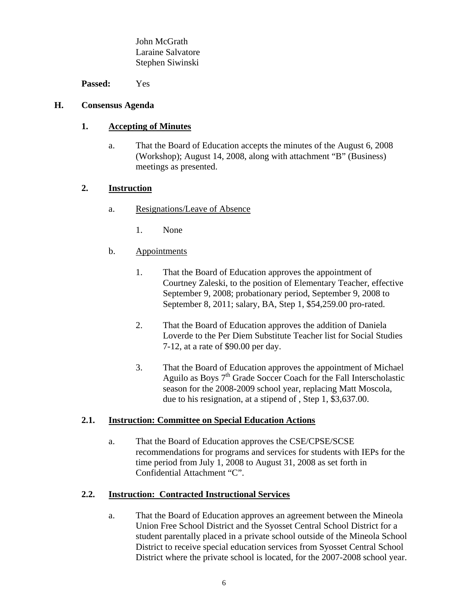John McGrath Laraine Salvatore Stephen Siwinski

**Passed:** Yes

#### **H. Consensus Agenda**

#### **1. Accepting of Minutes**

a. That the Board of Education accepts the minutes of the August 6, 2008 (Workshop); August 14, 2008, along with attachment "B" (Business) meetings as presented.

# **2. Instruction**

- a. Resignations/Leave of Absence
	- 1. None
- b. Appointments
	- 1. That the Board of Education approves the appointment of Courtney Zaleski, to the position of Elementary Teacher, effective September 9, 2008; probationary period, September 9, 2008 to September 8, 2011; salary, BA, Step 1, \$54,259.00 pro-rated.
	- 2. That the Board of Education approves the addition of Daniela Loverde to the Per Diem Substitute Teacher list for Social Studies 7-12, at a rate of \$90.00 per day.
	- 3. That the Board of Education approves the appointment of Michael Aguilo as Boys  $7<sup>th</sup>$  Grade Soccer Coach for the Fall Interscholastic season for the 2008-2009 school year, replacing Matt Moscola, due to his resignation, at a stipend of , Step 1, \$3,637.00.

# **2.1. Instruction: Committee on Special Education Actions**

a. That the Board of Education approves the CSE/CPSE/SCSE recommendations for programs and services for students with IEPs for the time period from July 1, 2008 to August 31, 2008 as set forth in Confidential Attachment "C".

# **2.2. Instruction: Contracted Instructional Services**

a. That the Board of Education approves an agreement between the Mineola Union Free School District and the Syosset Central School District for a student parentally placed in a private school outside of the Mineola School District to receive special education services from Syosset Central School District where the private school is located, for the 2007-2008 school year.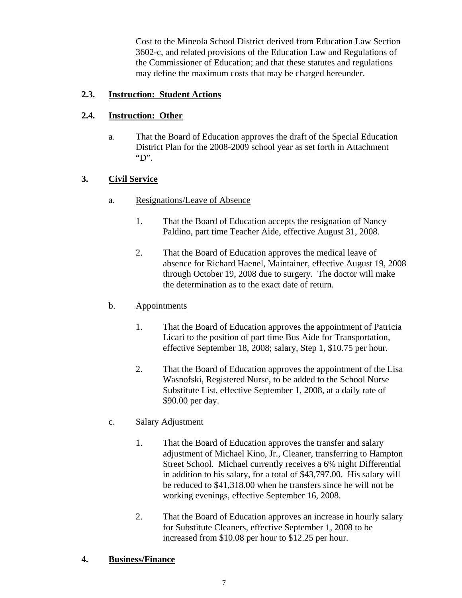Cost to the Mineola School District derived from Education Law Section 3602-c, and related provisions of the Education Law and Regulations of the Commissioner of Education; and that these statutes and regulations may define the maximum costs that may be charged hereunder.

#### **2.3. Instruction: Student Actions**

#### **2.4. Instruction: Other**

a. That the Board of Education approves the draft of the Special Education District Plan for the 2008-2009 school year as set forth in Attachment "D".

# **3. Civil Service**

- a. Resignations/Leave of Absence
	- 1. That the Board of Education accepts the resignation of Nancy Paldino, part time Teacher Aide, effective August 31, 2008.
	- 2. That the Board of Education approves the medical leave of absence for Richard Haenel, Maintainer, effective August 19, 2008 through October 19, 2008 due to surgery. The doctor will make the determination as to the exact date of return.

# b. Appointments

- 1. That the Board of Education approves the appointment of Patricia Licari to the position of part time Bus Aide for Transportation, effective September 18, 2008; salary, Step 1, \$10.75 per hour.
- 2. That the Board of Education approves the appointment of the Lisa Wasnofski, Registered Nurse, to be added to the School Nurse Substitute List, effective September 1, 2008, at a daily rate of \$90.00 per day.

# c. Salary Adjustment

- 1. That the Board of Education approves the transfer and salary adjustment of Michael Kino, Jr., Cleaner, transferring to Hampton Street School. Michael currently receives a 6% night Differential in addition to his salary, for a total of \$43,797.00. His salary will be reduced to \$41,318.00 when he transfers since he will not be working evenings, effective September 16, 2008.
- 2. That the Board of Education approves an increase in hourly salary for Substitute Cleaners, effective September 1, 2008 to be increased from \$10.08 per hour to \$12.25 per hour.

#### **4. Business/Finance**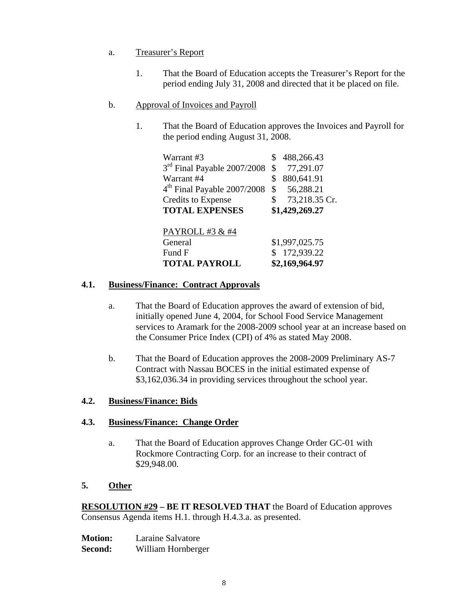# a. Treasurer's Report

1. That the Board of Education accepts the Treasurer's Report for the period ending July 31, 2008 and directed that it be placed on file.

# b. Approval of Invoices and Payroll

1. That the Board of Education approves the Invoices and Payroll for the period ending August 31, 2008.

| Warrant #3                              | 488,266.43          |
|-----------------------------------------|---------------------|
| 3 <sup>rd</sup> Final Payable 2007/2008 | \$<br>77,291.07     |
| Warrant #4                              | \$<br>880,641.91    |
| 4 <sup>th</sup> Final Payable 2007/2008 | \$<br>56,288.21     |
| <b>Credits to Expense</b>               | \$<br>73,218.35 Cr. |
| <b>TOTAL EXPENSES</b>                   | \$1,429,269.27      |
| PAYROLL #3 & #4                         |                     |
| General                                 | \$1,997,025.75      |
| Fund F                                  | 172,939.22          |
| <b>TOTAL PAYROLL</b>                    | \$2,169,964.97      |

# **4.1. Business/Finance: Contract Approvals**

- a. That the Board of Education approves the award of extension of bid, initially opened June 4, 2004, for School Food Service Management services to Aramark for the 2008-2009 school year at an increase based on the Consumer Price Index (CPI) of 4% as stated May 2008.
- b. That the Board of Education approves the 2008-2009 Preliminary AS-7 Contract with Nassau BOCES in the initial estimated expense of \$3,162,036.34 in providing services throughout the school year.

# **4.2. Business/Finance: Bids**

# **4.3. Business/Finance: Change Order**

a. That the Board of Education approves Change Order GC-01 with Rockmore Contracting Corp. for an increase to their contract of \$29,948.00.

# **5. Other**

**RESOLUTION #29 – BE IT RESOLVED THAT** the Board of Education approves Consensus Agenda items H.1. through H.4.3.a. as presented.

| <b>Motion:</b> | Laraine Salvatore  |
|----------------|--------------------|
| Second:        | William Hornberger |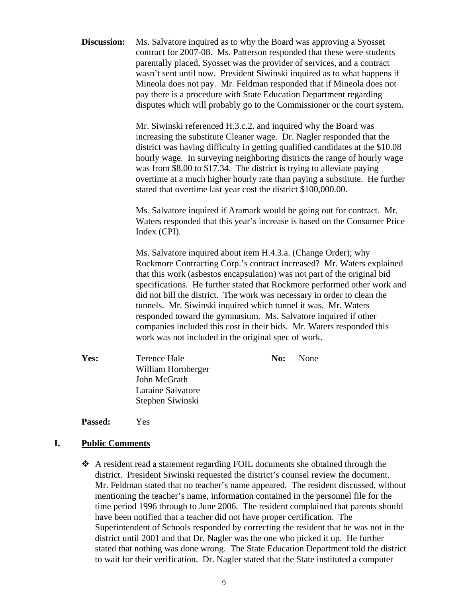**Discussion:** Ms. Salvatore inquired as to why the Board was approving a Syosset contract for 2007-08. Ms. Patterson responded that these were students parentally placed, Syosset was the provider of services, and a contract wasn't sent until now. President Siwinski inquired as to what happens if Mineola does not pay. Mr. Feldman responded that if Mineola does not pay there is a procedure with State Education Department regarding disputes which will probably go to the Commissioner or the court system.

> Mr. Siwinski referenced H.3.c.2. and inquired why the Board was increasing the substitute Cleaner wage. Dr. Nagler responded that the district was having difficulty in getting qualified candidates at the \$10.08 hourly wage. In surveying neighboring districts the range of hourly wage was from \$8.00 to \$17.34. The district is trying to alleviate paying overtime at a much higher hourly rate than paying a substitute. He further stated that overtime last year cost the district \$100,000.00.

> Ms. Salvatore inquired if Aramark would be going out for contract. Mr. Waters responded that this year's increase is based on the Consumer Price Index (CPI).

> Ms. Salvatore inquired about item H.4.3.a. (Change Order); why Rockmore Contracting Corp.'s contract increased? Mr. Waters explained that this work (asbestos encapsulation) was not part of the original bid specifications. He further stated that Rockmore performed other work and did not bill the district. The work was necessary in order to clean the tunnels. Mr. Siwinski inquired which tunnel it was. Mr. Waters responded toward the gymnasium. Ms. Salvatore inquired if other companies included this cost in their bids. Mr. Waters responded this work was not included in the original spec of work.

**Yes:** Terence Hale **No:** None William Hornberger John McGrath Laraine Salvatore Stephen Siwinski

**Passed:** Yes

#### **I. Public Comments**

 A resident read a statement regarding FOIL documents she obtained through the district. President Siwinski requested the district's counsel review the document. Mr. Feldman stated that no teacher's name appeared. The resident discussed, without mentioning the teacher's name, information contained in the personnel file for the time period 1996 through to June 2006. The resident complained that parents should have been notified that a teacher did not have proper certification. The Superintendent of Schools responded by correcting the resident that he was not in the district until 2001 and that Dr. Nagler was the one who picked it up. He further stated that nothing was done wrong. The State Education Department told the district to wait for their verification. Dr. Nagler stated that the State instituted a computer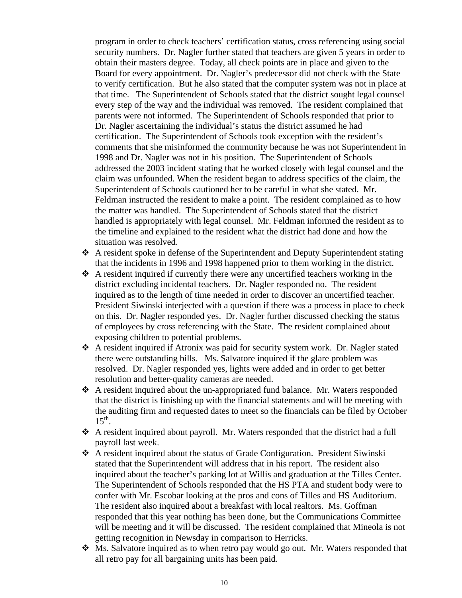program in order to check teachers' certification status, cross referencing using social security numbers. Dr. Nagler further stated that teachers are given 5 years in order to obtain their masters degree. Today, all check points are in place and given to the Board for every appointment. Dr. Nagler's predecessor did not check with the State to verify certification. But he also stated that the computer system was not in place at that time. The Superintendent of Schools stated that the district sought legal counsel every step of the way and the individual was removed. The resident complained that parents were not informed. The Superintendent of Schools responded that prior to Dr. Nagler ascertaining the individual's status the district assumed he had certification. The Superintendent of Schools took exception with the resident's comments that she misinformed the community because he was not Superintendent in 1998 and Dr. Nagler was not in his position. The Superintendent of Schools addressed the 2003 incident stating that he worked closely with legal counsel and the claim was unfounded. When the resident began to address specifics of the claim, the Superintendent of Schools cautioned her to be careful in what she stated. Mr. Feldman instructed the resident to make a point. The resident complained as to how the matter was handled. The Superintendent of Schools stated that the district handled is appropriately with legal counsel. Mr. Feldman informed the resident as to the timeline and explained to the resident what the district had done and how the situation was resolved.

- A resident spoke in defense of the Superintendent and Deputy Superintendent stating that the incidents in 1996 and 1998 happened prior to them working in the district.
- A resident inquired if currently there were any uncertified teachers working in the district excluding incidental teachers. Dr. Nagler responded no. The resident inquired as to the length of time needed in order to discover an uncertified teacher. President Siwinski interjected with a question if there was a process in place to check on this. Dr. Nagler responded yes. Dr. Nagler further discussed checking the status of employees by cross referencing with the State. The resident complained about exposing children to potential problems.
- A resident inquired if Atronix was paid for security system work. Dr. Nagler stated there were outstanding bills. Ms. Salvatore inquired if the glare problem was resolved. Dr. Nagler responded yes, lights were added and in order to get better resolution and better-quality cameras are needed.
- $\triangle$  A resident inquired about the un-appropriated fund balance. Mr. Waters responded that the district is finishing up with the financial statements and will be meeting with the auditing firm and requested dates to meet so the financials can be filed by October  $15<sup>th</sup>$ .
- A resident inquired about payroll. Mr. Waters responded that the district had a full payroll last week.
- A resident inquired about the status of Grade Configuration. President Siwinski stated that the Superintendent will address that in his report. The resident also inquired about the teacher's parking lot at Willis and graduation at the Tilles Center. The Superintendent of Schools responded that the HS PTA and student body were to confer with Mr. Escobar looking at the pros and cons of Tilles and HS Auditorium. The resident also inquired about a breakfast with local realtors. Ms. Goffman responded that this year nothing has been done, but the Communications Committee will be meeting and it will be discussed. The resident complained that Mineola is not getting recognition in Newsday in comparison to Herricks.
- Ms. Salvatore inquired as to when retro pay would go out. Mr. Waters responded that all retro pay for all bargaining units has been paid.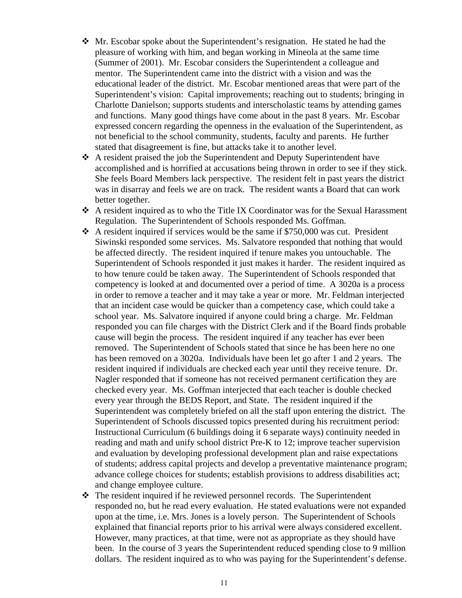- Mr. Escobar spoke about the Superintendent's resignation. He stated he had the pleasure of working with him, and began working in Mineola at the same time (Summer of 2001). Mr. Escobar considers the Superintendent a colleague and mentor. The Superintendent came into the district with a vision and was the educational leader of the district. Mr. Escobar mentioned areas that were part of the Superintendent's vision: Capital improvements; reaching out to students; bringing in Charlotte Danielson; supports students and interscholastic teams by attending games and functions. Many good things have come about in the past 8 years. Mr. Escobar expressed concern regarding the openness in the evaluation of the Superintendent, as not beneficial to the school community, students, faculty and parents. He further stated that disagreement is fine, but attacks take it to another level.
- A resident praised the job the Superintendent and Deputy Superintendent have accomplished and is horrified at accusations being thrown in order to see if they stick. She feels Board Members lack perspective. The resident felt in past years the district was in disarray and feels we are on track. The resident wants a Board that can work better together.
- $\triangle$  A resident inquired as to who the Title IX Coordinator was for the Sexual Harassment Regulation. The Superintendent of Schools responded Ms. Goffman.
- $\cdot$  A resident inquired if services would be the same if \$750,000 was cut. President Siwinski responded some services. Ms. Salvatore responded that nothing that would be affected directly. The resident inquired if tenure makes you untouchable. The Superintendent of Schools responded it just makes it harder. The resident inquired as to how tenure could be taken away. The Superintendent of Schools responded that competency is looked at and documented over a period of time. A 3020a is a process in order to remove a teacher and it may take a year or more. Mr. Feldman interjected that an incident case would be quicker than a competency case, which could take a school year. Ms. Salvatore inquired if anyone could bring a charge. Mr. Feldman responded you can file charges with the District Clerk and if the Board finds probable cause will begin the process. The resident inquired if any teacher has ever been removed. The Superintendent of Schools stated that since he has been here no one has been removed on a 3020a. Individuals have been let go after 1 and 2 years. The resident inquired if individuals are checked each year until they receive tenure. Dr. Nagler responded that if someone has not received permanent certification they are checked every year. Ms. Goffman interjected that each teacher is double checked every year through the BEDS Report, and State. The resident inquired if the Superintendent was completely briefed on all the staff upon entering the district. The Superintendent of Schools discussed topics presented during his recruitment period: Instructional Curriculum (6 buildings doing it 6 separate ways) continuity needed in reading and math and unify school district Pre-K to 12; improve teacher supervision and evaluation by developing professional development plan and raise expectations of students; address capital projects and develop a preventative maintenance program; advance college choices for students; establish provisions to address disabilities act; and change employee culture.
- The resident inquired if he reviewed personnel records. The Superintendent responded no, but he read every evaluation. He stated evaluations were not expanded upon at the time, i.e. Mrs. Jones is a lovely person. The Superintendent of Schools explained that financial reports prior to his arrival were always considered excellent. However, many practices, at that time, were not as appropriate as they should have been. In the course of 3 years the Superintendent reduced spending close to 9 million dollars. The resident inquired as to who was paying for the Superintendent's defense.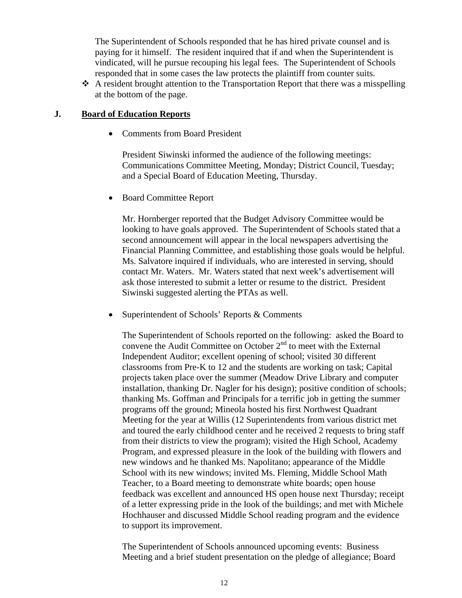The Superintendent of Schools responded that he has hired private counsel and is paying for it himself. The resident inquired that if and when the Superintendent is vindicated, will he pursue recouping his legal fees. The Superintendent of Schools responded that in some cases the law protects the plaintiff from counter suits.

 $\triangle$  A resident brought attention to the Transportation Report that there was a misspelling at the bottom of the page.

#### **J. Board of Education Reports**

• Comments from Board President

President Siwinski informed the audience of the following meetings: Communications Committee Meeting, Monday; District Council, Tuesday; and a Special Board of Education Meeting, Thursday.

• Board Committee Report

Mr. Hornberger reported that the Budget Advisory Committee would be looking to have goals approved. The Superintendent of Schools stated that a second announcement will appear in the local newspapers advertising the Financial Planning Committee, and establishing those goals would be helpful. Ms. Salvatore inquired if individuals, who are interested in serving, should contact Mr. Waters. Mr. Waters stated that next week's advertisement will ask those interested to submit a letter or resume to the district. President Siwinski suggested alerting the PTAs as well.

• Superintendent of Schools' Reports & Comments

The Superintendent of Schools reported on the following: asked the Board to convene the Audit Committee on October  $2<sup>nd</sup>$  to meet with the External Independent Auditor; excellent opening of school; visited 30 different classrooms from Pre-K to 12 and the students are working on task; Capital projects taken place over the summer (Meadow Drive Library and computer installation, thanking Dr. Nagler for his design); positive condition of schools; thanking Ms. Goffman and Principals for a terrific job in getting the summer programs off the ground; Mineola hosted his first Northwest Quadrant Meeting for the year at Willis (12 Superintendents from various district met and toured the early childhood center and he received 2 requests to bring staff from their districts to view the program); visited the High School, Academy Program, and expressed pleasure in the look of the building with flowers and new windows and he thanked Ms. Napolitano; appearance of the Middle School with its new windows; invited Ms. Fleming, Middle School Math Teacher, to a Board meeting to demonstrate white boards; open house feedback was excellent and announced HS open house next Thursday; receipt of a letter expressing pride in the look of the buildings; and met with Michele Hochhauser and discussed Middle School reading program and the evidence to support its improvement.

The Superintendent of Schools announced upcoming events: Business Meeting and a brief student presentation on the pledge of allegiance; Board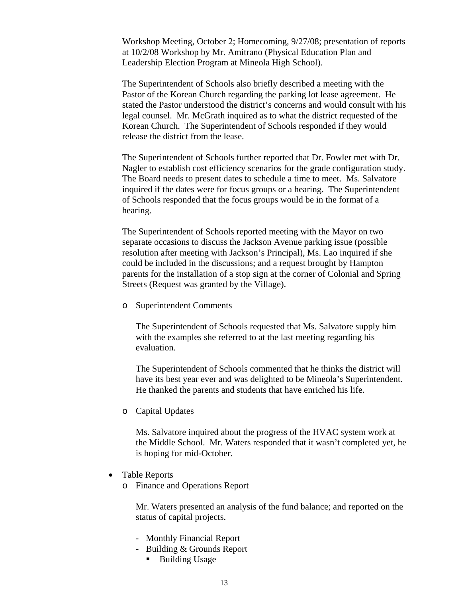Workshop Meeting, October 2; Homecoming, 9/27/08; presentation of reports at 10/2/08 Workshop by Mr. Amitrano (Physical Education Plan and Leadership Election Program at Mineola High School).

The Superintendent of Schools also briefly described a meeting with the Pastor of the Korean Church regarding the parking lot lease agreement. He stated the Pastor understood the district's concerns and would consult with his legal counsel. Mr. McGrath inquired as to what the district requested of the Korean Church. The Superintendent of Schools responded if they would release the district from the lease.

The Superintendent of Schools further reported that Dr. Fowler met with Dr. Nagler to establish cost efficiency scenarios for the grade configuration study. The Board needs to present dates to schedule a time to meet. Ms. Salvatore inquired if the dates were for focus groups or a hearing. The Superintendent of Schools responded that the focus groups would be in the format of a hearing.

The Superintendent of Schools reported meeting with the Mayor on two separate occasions to discuss the Jackson Avenue parking issue (possible resolution after meeting with Jackson's Principal), Ms. Lao inquired if she could be included in the discussions; and a request brought by Hampton parents for the installation of a stop sign at the corner of Colonial and Spring Streets (Request was granted by the Village).

o Superintendent Comments

The Superintendent of Schools requested that Ms. Salvatore supply him with the examples she referred to at the last meeting regarding his evaluation.

The Superintendent of Schools commented that he thinks the district will have its best year ever and was delighted to be Mineola's Superintendent. He thanked the parents and students that have enriched his life.

o Capital Updates

Ms. Salvatore inquired about the progress of the HVAC system work at the Middle School. Mr. Waters responded that it wasn't completed yet, he is hoping for mid-October.

- Table Reports
	- o Finance and Operations Report

Mr. Waters presented an analysis of the fund balance; and reported on the status of capital projects.

- Monthly Financial Report
- Building & Grounds Report
	- Building Usage